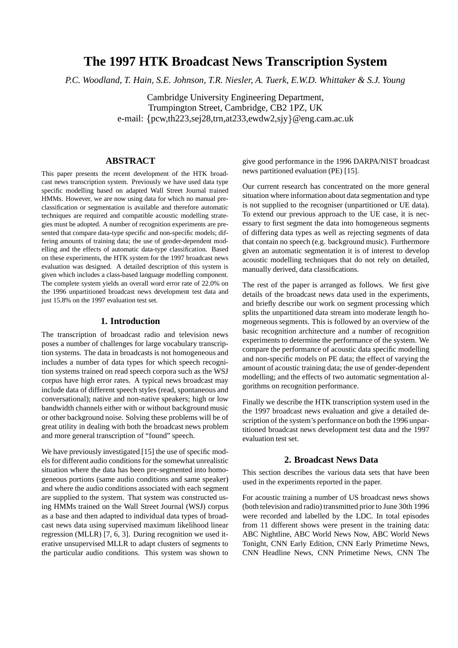# **The 1997 HTK Broadcast News Transcription System**

*P.C. Woodland, T. Hain, S.E. Johnson, T.R. Niesler, A. Tuerk, E.W.D. Whittaker & S.J. Young*

Cambridge University Engineering Department, Trumpington Street, Cambridge, CB2 1PZ, UK e-mail: {pcw,th223,sej28,trn,at233,ewdw2,sjy}@eng.cam.ac.uk

## **ABSTRACT**

This paper presents the recent development of the HTK broadcast news transcription system. Previously we have used data type specific modelling based on adapted Wall Street Journal trained HMMs. However, we are now using data for which no manual preclassification or segmentation is available and therefore automatic techniques are required and compatible acoustic modelling strategies must be adopted. A number of recognition experiments are presented that compare data-type specific and non-specific models; differing amounts of training data; the use of gender-dependent modelling and the effects of automatic data-type classification. Based on these experiments, the HTK system for the 1997 broadcast news evaluation was designed. A detailed description of this system is given which includes a class-based language modelling component. The complete system yields an overall word error rate of 22.0% on the 1996 unpartitioned broadcast news development test data and just 15.8% on the 1997 evaluation test set.

#### **1. Introduction**

The transcription of broadcast radio and television news poses a number of challenges for large vocabulary transcription systems. The data in broadcasts is not homogeneous and includes a number of data types for which speech recognition systems trained on read speech corpora such as the WSJ corpus have high error rates. A typical news broadcast may include data of different speech styles (read, spontaneous and conversational); native and non-native speakers; high or low bandwidth channels either with or without background music or other background noise. Solving these problems will be of great utility in dealing with both the broadcast news problem and more general transcription of "found" speech.

We have previously investigated [15] the use of specific models for different audio conditions for the somewhat unrealistic situation where the data has been pre-segmented into homogeneous portions (same audio conditions and same speaker) and where the audio conditions associated with each segment are supplied to the system. That system was constructed using HMMs trained on the Wall Street Journal (WSJ) corpus as a base and then adapted to individual data types of broadcast news data using supervised maximum likelihood linear regression (MLLR) [7, 6, 3]. During recognition we used iterative unsupervised MLLR to adapt clusters of segments to the particular audio conditions. This system was shown to give good performance in the 1996 DARPA/NIST broadcast news partitioned evaluation (PE) [15].

Our current research has concentrated on the more general situation where information about data segmentation and type is not supplied to the recogniser (unpartitioned or UE data). To extend our previous approach to the UE case, it is necessary to first segment the data into homogeneous segments of differing data types as well as rejecting segments of data that contain no speech (e.g. background music). Furthermore given an automatic segmentation it is of interest to develop acoustic modelling techniques that do not rely on detailed, manually derived, data classifications.

The rest of the paper is arranged as follows. We first give details of the broadcast news data used in the experiments, and briefly describe our work on segment processing which splits the unpartitioned data stream into moderate length homogeneous segments. This is followed by an overview of the basic recognition architecture and a number of recognition experiments to determine the performance of the system. We compare the performance of acoustic data specific modelling and non-specific models on PE data; the effect of varying the amount of acoustic training data; the use of gender-dependent modelling; and the effects of two automatic segmentation algorithms on recognition performance.

Finally we describe the HTK transcription system used in the the 1997 broadcast news evaluation and give a detailed description of the system's performance on both the 1996 unpartitioned broadcast news development test data and the 1997 evaluation test set.

## **2. Broadcast News Data**

This section describes the various data sets that have been used in the experiments reported in the paper.

For acoustic training a number of US broadcast news shows (both television and radio) transmitted prior to June 30th 1996 were recorded and labelled by the LDC. In total episodes from 11 different shows were present in the training data: ABC Nightline, ABC World News Now, ABC World News Tonight, CNN Early Edition, CNN Early Primetime News, CNN Headline News, CNN Primetime News, CNN The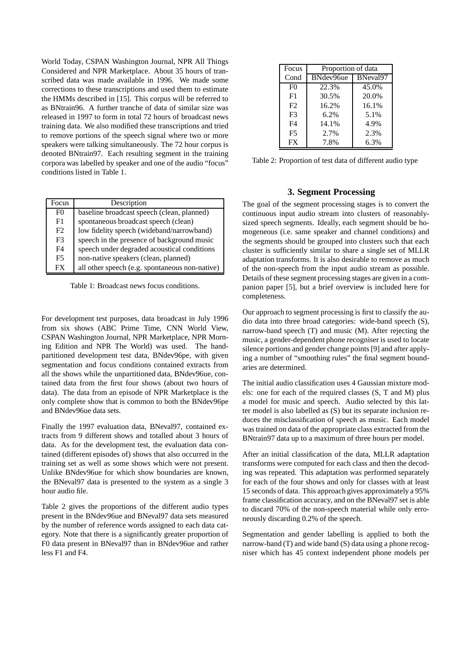World Today, CSPAN Washington Journal, NPR All Things Considered and NPR Marketplace. About 35 hours of transcribed data was made available in 1996. We made some corrections to these transcriptions and used them to estimate the HMMs described in [15]. This corpus will be referred to as BNtrain96. A further tranche of data of similar size was released in 1997 to form in total 72 hours of broadcast news training data. We also modified these transcriptions and tried to remove portions of the speech signal where two or more speakers were talking simultaneously. The 72 hour corpus is denoted BNtrain97. Each resulting segment in the training corpora was labelled by speaker and one of the audio "focus" conditions listed in Table 1.

| Focus          | Description                                    |
|----------------|------------------------------------------------|
| F <sub>0</sub> | baseline broadcast speech (clean, planned)     |
| F1             | spontaneous broadcast speech (clean)           |
| F2             | low fidelity speech (wideband/narrowband)      |
| F <sub>3</sub> | speech in the presence of background music     |
| F4             | speech under degraded acoustical conditions    |
| F5             | non-native speakers (clean, planned)           |
| FX             | all other speech (e.g. spontaneous non-native) |

Table 1: Broadcast news focus conditions.

For development test purposes, data broadcast in July 1996 from six shows (ABC Prime Time, CNN World View, CSPAN Washington Journal, NPR Marketplace, NPR Morning Edition and NPR The World) was used. The handpartitioned development test data, BNdev96pe, with given segmentation and focus conditions contained extracts from all the shows while the unpartitioned data, BNdev96ue, contained data from the first four shows (about two hours of data). The data from an episode of NPR Marketplace is the only complete show that is common to both the BNdev96pe and BNdev96ue data sets.

Finally the 1997 evaluation data, BNeval97, contained extracts from 9 different shows and totalled about 3 hours of data. As for the development test, the evaluation data contained (different episodes of) shows that also occurred in the training set as well as some shows which were not present. Unlike BNdev96ue for which show boundaries are known, the BNeval97 data is presented to the system as a single 3 hour audio file.

Table 2 gives the proportions of the different audio types present in the BNdev96ue and BNeval97 data sets measured by the number of reference words assigned to each data category. Note that there is a significantly greater proportion of F0 data present in BNeval97 than in BNdev96ue and rather less F1 and F4.

| Focus          | Proportion of data |          |  |  |  |  |  |
|----------------|--------------------|----------|--|--|--|--|--|
| Cond           | BNdev96ue          | BNeval97 |  |  |  |  |  |
| F <sub>0</sub> | 22.3%              | 45.0%    |  |  |  |  |  |
| F1             | 30.5%              | 20.0%    |  |  |  |  |  |
| F2             | 16.2%              | 16.1%    |  |  |  |  |  |
| F <sup>3</sup> | 6.2%               | 5.1%     |  |  |  |  |  |
| F4             | 14.1%              | 4.9%     |  |  |  |  |  |
| F <sub>5</sub> | 2.7%               | 2.3%     |  |  |  |  |  |
| FX             | 7.8%               | 6.3%     |  |  |  |  |  |

Table 2: Proportion of test data of different audio type

#### **3. Segment Processing**

The goal of the segment processing stages is to convert the continuous input audio stream into clusters of reasonablysized speech segments. Ideally, each segment should be homogeneous (i.e. same speaker and channel conditions) and the segments should be grouped into clusters such that each cluster is sufficiently similar to share a single set of MLLR adaptation transforms. It is also desirable to remove as much of the non-speech from the input audio stream as possible. Details of these segment processing stages are given in a companion paper [5], but a brief overview is included here for completeness.

Our approach to segment processing is first to classify the audio data into three broad categories: wide-band speech (S), narrow-band speech (T) and music (M). After rejecting the music, a gender-dependent phone recogniser is used to locate silence portions and gender change points [9] and after applying a number of "smoothing rules" the final segment boundaries are determined.

The initial audio classification uses 4 Gaussian mixture models: one for each of the required classes (S, T and M) plus a model for music and speech. Audio selected by this latter model is also labelled as (S) but its separate inclusion reduces the misclassification of speech as music. Each model was trained on data of the appropriate class extracted from the BNtrain97 data up to a maximum of three hours per model.

After an initial classification of the data, MLLR adaptation transforms were computed for each class and then the decoding was repeated. This adaptation was performed separately for each of the four shows and only for classes with at least 15 seconds of data. This approach gives approximately a 95% frame classification accuracy, and on the BNeval97 set is able to discard 70% of the non-speech material while only erroneously discarding 0.2% of the speech.

Segmentation and gender labelling is applied to both the narrow-band (T) and wide band (S) data using a phone recogniser which has 45 context independent phone models per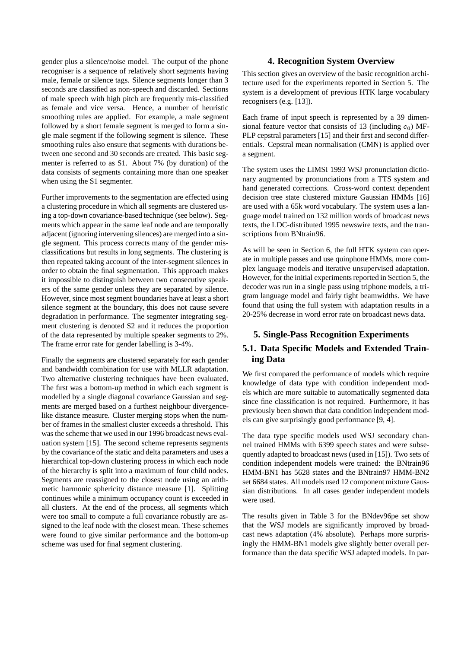gender plus a silence/noise model. The output of the phone recogniser is a sequence of relatively short segments having male, female or silence tags. Silence segments longer than 3 seconds are classified as non-speech and discarded. Sections of male speech with high pitch are frequently mis-classified as female and vice versa. Hence, a number of heuristic smoothing rules are applied. For example, a male segment followed by a short female segment is merged to form a single male segment if the following segment is silence. These smoothing rules also ensure that segments with durations between one second and 30 seconds are created. This basic segmenter is referred to as S1. About 7% (by duration) of the data consists of segments containing more than one speaker when using the S1 segmenter.

Further improvements to the segmentation are effected using a clustering procedure in which all segments are clustered using a top-down covariance-based technique (see below). Segments which appear in the same leaf node and are temporally adjacent (ignoring intervening silences) are merged into a single segment. This process corrects many of the gender misclassifications but results in long segments. The clustering is then repeated taking account of the inter-segment silences in order to obtain the final segmentation. This approach makes it impossible to distinguish between two consecutive speakers of the same gender unless they are separated by silence. However, since most segment boundaries have at least a short silence segment at the boundary, this does not cause severe degradation in performance. The segmenter integrating segment clustering is denoted S2 and it reduces the proportion of the data represented by multiple speaker segments to 2%. The frame error rate for gender labelling is 3-4%.

Finally the segments are clustered separately for each gender and bandwidth combination for use with MLLR adaptation. Two alternative clustering techniques have been evaluated. The first was a bottom-up method in which each segment is modelled by a single diagonal covariance Gaussian and segments are merged based on a furthest neighbour divergencelike distance measure. Cluster merging stops when the number of frames in the smallest cluster exceeds a threshold. This was the scheme that we used in our 1996 broadcast news evaluation system [15]. The second scheme represents segments by the covariance of the static and delta parameters and uses a hierarchical top-down clustering process in which each node of the hierarchy is split into a maximum of four child nodes. Segments are reassigned to the closest node using an arithmetic harmonic sphericity distance measure [1]. Splitting continues while a minimum occupancy count is exceeded in all clusters. At the end of the process, all segments which were too small to compute a full covariance robustly are assigned to the leaf node with the closest mean. These schemes were found to give similar performance and the bottom-up scheme was used for final segment clustering.

## **4. Recognition System Overview**

This section gives an overview of the basic recognition architecture used for the experiments reported in Section 5. The system is a development of previous HTK large vocabulary recognisers (e.g. [13]).

Each frame of input speech is represented by a 39 dimensional feature vector that consists of 13 (including  $c_0$ ) MF-PLP cepstral parameters [15] and their first and second differentials. Cepstral mean normalisation (CMN) is applied over a segment.

The system uses the LIMSI 1993 WSJ pronunciation dictionary augmented by pronunciations from a TTS system and hand generated corrections. Cross-word context dependent decision tree state clustered mixture Gaussian HMMs [16] are used with a 65k word vocabulary. The system uses a language model trained on 132 million words of broadcast news texts, the LDC-distributed 1995 newswire texts, and the transcriptions from BNtrain96.

As will be seen in Section 6, the full HTK system can operate in multiple passes and use quinphone HMMs, more complex language models and iterative unsupervised adaptation. However, for the initial experiments reported in Section 5, the decoder was run in a single pass using triphone models, a trigram language model and fairly tight beamwidths. We have found that using the full system with adaptation results in a 20-25% decrease in word error rate on broadcast news data.

# **5. Single-Pass Recognition Experiments**

# **5.1. Data Specific Models and Extended Training Data**

We first compared the performance of models which require knowledge of data type with condition independent models which are more suitable to automatically segmented data since fine classification is not required. Furthermore, it has previously been shown that data condition independent models can give surprisingly good performance [9, 4].

The data type specific models used WSJ secondary channel trained HMMs with 6399 speech states and were subsequently adapted to broadcast news (used in [15]). Two sets of condition independent models were trained: the BNtrain96 HMM-BN1 has 5628 states and the BNtrain97 HMM-BN2 set 6684 states. All models used 12 component mixture Gaussian distributions. In all cases gender independent models were used.

The results given in Table 3 for the BNdev96pe set show that the WSJ models are significantly improved by broadcast news adaptation (4% absolute). Perhaps more surprisingly the HMM-BN1 models give slightly better overall performance than the data specific WSJ adapted models. In par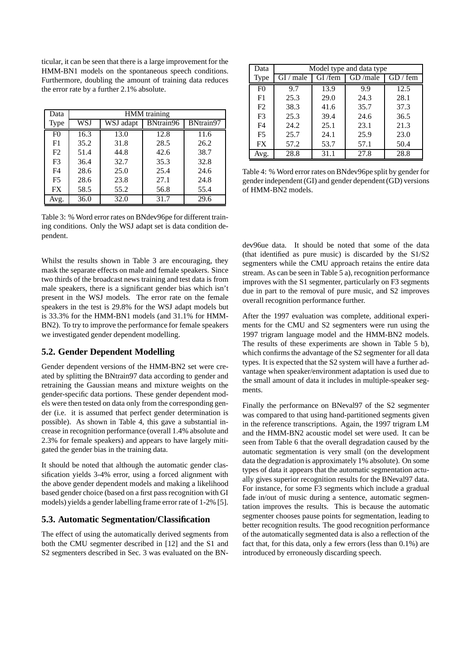ticular, it can be seen that there is a large improvement for the HMM-BN1 models on the spontaneous speech conditions. Furthermore, doubling the amount of training data reduces the error rate by a further 2.1% absolute.

| Data           | <b>HMM</b> training |           |           |           |  |  |  |  |  |
|----------------|---------------------|-----------|-----------|-----------|--|--|--|--|--|
| Type           | WSJ                 | WSJ adapt | BNtrain96 | BNtrain97 |  |  |  |  |  |
| F <sub>0</sub> | 16.3                | 13.0      | 12.8      | 11.6      |  |  |  |  |  |
| F1             | 35.2                | 31.8      | 28.5      | 26.2      |  |  |  |  |  |
| F2             | 51.4                | 44.8      | 42.6      | 38.7      |  |  |  |  |  |
| F <sub>3</sub> | 36.4                | 32.7      | 35.3      | 32.8      |  |  |  |  |  |
| F <sub>4</sub> | 28.6                | 25.0      | 25.4      | 24.6      |  |  |  |  |  |
| F <sub>5</sub> | 28.6                | 23.8      | 27.1      | 24.8      |  |  |  |  |  |
| FX             | 58.5                | 55.2      | 56.8      | 55.4      |  |  |  |  |  |
| Avg.           | 36.0                | 32.0      | 31.7      | 29.6      |  |  |  |  |  |

Table 3: % Word error rates on BNdev96pe for different training conditions. Only the WSJ adapt set is data condition dependent.

Whilst the results shown in Table 3 are encouraging, they mask the separate effects on male and female speakers. Since two thirds of the broadcast news training and test data is from male speakers, there is a significant gender bias which isn't present in the WSJ models. The error rate on the female speakers in the test is 29.8% for the WSJ adapt models but is 33.3% for the HMM-BN1 models (and 31.1% for HMM-BN2). To try to improve the performance for female speakers we investigated gender dependent modelling.

# **5.2. Gender Dependent Modelling**

Gender dependent versions of the HMM-BN2 set were created by splitting the BNtrain97 data according to gender and retraining the Gaussian means and mixture weights on the gender-specific data portions. These gender dependent models were then tested on data only from the corresponding gender (i.e. it is assumed that perfect gender determination is possible). As shown in Table 4, this gave a substantial increase in recognition performance (overall 1.4% absolute and 2.3% for female speakers) and appears to have largely mitigated the gender bias in the training data.

It should be noted that although the automatic gender classification yields 3-4% error, using a forced alignment with the above gender dependent models and making a likelihood based gender choice (based on a first pass recognition with GI models) yields a gender labelling frame error rate of 1-2% [5].

## **5.3. Automatic Segmentation/Classification**

The effect of using the automatically derived segments from both the CMU segmenter described in [12] and the S1 and S2 segmenters described in Sec. 3 was evaluated on the BN-

| Data           | Model type and data type |        |         |          |  |  |  |  |  |
|----------------|--------------------------|--------|---------|----------|--|--|--|--|--|
| <b>Type</b>    | $GI$ / male              | GI/rem | GD/male | GD / fem |  |  |  |  |  |
| F <sub>0</sub> | 9.7                      | 13.9   | 9.9     | 12.5     |  |  |  |  |  |
| F1             | 25.3                     | 29.0   | 24.3    | 28.1     |  |  |  |  |  |
| F2             | 38.3                     | 41.6   | 35.7    | 37.3     |  |  |  |  |  |
| F <sub>3</sub> | 25.3                     | 39.4   | 24.6    | 36.5     |  |  |  |  |  |
| F <sub>4</sub> | 24.2                     | 25.1   | 23.1    | 21.3     |  |  |  |  |  |
| F <sub>5</sub> | 25.7                     | 24.1   | 25.9    | 23.0     |  |  |  |  |  |
| <b>FX</b>      | 57.2                     | 53.7   | 57.1    | 50.4     |  |  |  |  |  |
| Avg.           | 28.8                     | 31.1   | 27.8    | 28.8     |  |  |  |  |  |

Table 4: % Word error rates on BNdev96pe split by gender for gender independent(GI) and gender dependent(GD) versions of HMM-BN2 models.

dev96ue data. It should be noted that some of the data (that identified as pure music) is discarded by the S1/S2 segmenters while the CMU approach retains the entire data stream. As can be seen in Table 5 a), recognition performance improves with the S1 segmenter, particularly on F3 segments due in part to the removal of pure music, and S2 improves overall recognition performance further.

After the 1997 evaluation was complete, additional experiments for the CMU and S2 segmenters were run using the 1997 trigram language model and the HMM-BN2 models. The results of these experiments are shown in Table 5 b), which confirms the advantage of the S2 segmenter for all data types. It is expected that the S2 system will have a further advantage when speaker/environment adaptation is used due to the small amount of data it includes in multiple-speaker segments.

Finally the performance on BNeval97 of the S2 segmenter was compared to that using hand-partitioned segments given in the reference transcriptions. Again, the 1997 trigram LM and the HMM-BN2 acoustic model set were used. It can be seen from Table 6 that the overall degradation caused by the automatic segmentation is very small (on the development data the degradation is approximately 1% absolute). On some types of data it appears that the automatic segmentation actually gives superior recognition results for the BNeval97 data. For instance, for some F3 segments which include a gradual fade in/out of music during a sentence, automatic segmentation improves the results. This is because the automatic segmenter chooses pause points for segmentation, leading to better recognition results. The good recognition performance of the automatically segmented data is also a reflection of the fact that, for this data, only a few errors (less than 0.1%) are introduced by erroneously discarding speech.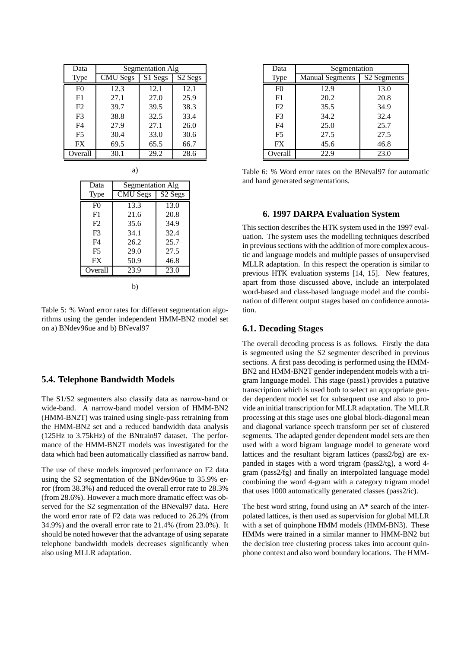| Data           | Segmentation Alg |                      |                                            |  |  |  |  |  |
|----------------|------------------|----------------------|--------------------------------------------|--|--|--|--|--|
| Type           | <b>CMU</b> Segs  | $\overline{S}1$ Segs | $\overline{\text{S2} \text{S} \text{egs}}$ |  |  |  |  |  |
| F <sub>0</sub> | 12.3             | 12.1                 | 12.1                                       |  |  |  |  |  |
| F1             | 27.1             | 27.0                 | 25.9                                       |  |  |  |  |  |
| F2             | 39.7             | 39.5                 | 38.3                                       |  |  |  |  |  |
| F <sub>3</sub> | 38.8             | 32.5                 | 33.4                                       |  |  |  |  |  |
| F <sub>4</sub> | 27.9             | 27.1                 | 26.0                                       |  |  |  |  |  |
| F <sub>5</sub> | 30.4             | 33.0                 | 30.6                                       |  |  |  |  |  |
| <b>FX</b>      | 69.5             | 65.5                 | 66.7                                       |  |  |  |  |  |
| Overall        | 30.1             | 29.2                 | 28.6                                       |  |  |  |  |  |

a)

| Data           | Segmentation Alg |         |  |  |  |  |  |  |
|----------------|------------------|---------|--|--|--|--|--|--|
| Type           | <b>CMU Segs</b>  | S2 Segs |  |  |  |  |  |  |
| F()            | 13.3             | 13.0    |  |  |  |  |  |  |
| F <sub>1</sub> | 21.6             | 20.8    |  |  |  |  |  |  |
| F2             | 35.6             | 34.9    |  |  |  |  |  |  |
| F3             | 34.1             | 32.4    |  |  |  |  |  |  |
| F4             | 26.2             | 25.7    |  |  |  |  |  |  |
| F <sub>5</sub> | 29.0             | 27.5    |  |  |  |  |  |  |
| FX             | 50.9             | 46.8    |  |  |  |  |  |  |
| Overall        | 23.9             | 23.0    |  |  |  |  |  |  |
| b`             |                  |         |  |  |  |  |  |  |

Table 5: % Word error rates for different segmentation algorithms using the gender independent HMM-BN2 model set on a) BNdev96ue and b) BNeval97

## **5.4. Telephone Bandwidth Models**

The S1/S2 segmenters also classify data as narrow-band or wide-band. A narrow-band model version of HMM-BN2 (HMM-BN2T) was trained using single-pass retraining from the HMM-BN2 set and a reduced bandwidth data analysis (125Hz to 3.75kHz) of the BNtrain97 dataset. The performance of the HMM-BN2T models was investigated for the data which had been automatically classified as narrow band.

The use of these models improved performance on F2 data using the S2 segmentation of the BNdev96ue to 35.9% error (from 38.3%) and reduced the overall error rate to 28.3% (from 28.6%). However a much more dramatic effect was observed for the S2 segmentation of the BNeval97 data. Here the word error rate of F2 data was reduced to 26.2% (from 34.9%) and the overall error rate to 21.4% (from 23.0%). It should be noted however that the advantage of using separate telephone bandwidth models decreases significantly when also using MLLR adaptation.

| Data           | Segmentation                          |      |  |  |  |  |  |
|----------------|---------------------------------------|------|--|--|--|--|--|
| <b>Type</b>    | S2 Segments<br><b>Manual Segments</b> |      |  |  |  |  |  |
| F <sub>0</sub> | 12.9                                  | 13.0 |  |  |  |  |  |
| F1             | 20.2                                  | 20.8 |  |  |  |  |  |
| F <sub>2</sub> | 35.5                                  | 34.9 |  |  |  |  |  |
| F3             | 34.2                                  | 32.4 |  |  |  |  |  |
| F <sub>4</sub> | 25.0                                  | 25.7 |  |  |  |  |  |
| F <sub>5</sub> | 27.5                                  | 27.5 |  |  |  |  |  |
| <b>FX</b>      | 45.6                                  | 46.8 |  |  |  |  |  |
| Overall        | 22.9                                  | 23.0 |  |  |  |  |  |

Table 6: % Word error rates on the BNeval97 for automatic and hand generated segmentations.

## **6. 1997 DARPA Evaluation System**

This section describes the HTK system used in the 1997 evaluation. The system uses the modelling techniques described in previous sections with the addition of more complex acoustic and language models and multiple passes of unsupervised MLLR adaptation. In this respect the operation is similar to previous HTK evaluation systems [14, 15]. New features, apart from those discussed above, include an interpolated word-based and class-based language model and the combination of different output stages based on confidence annotation.

#### **6.1. Decoding Stages**

The overall decoding process is as follows. Firstly the data is segmented using the S2 segmenter described in previous sections. A first pass decoding is performed using the HMM-BN2 and HMM-BN2T gender independent models with a trigram language model. This stage (pass1) provides a putative transcription which is used both to select an appropriate gender dependent model set for subsequent use and also to provide an initial transcription for MLLR adaptation. The MLLR processing at this stage uses one global block-diagonal mean and diagonal variance speech transform per set of clustered segments. The adapted gender dependent model sets are then used with a word bigram language model to generate word lattices and the resultant bigram lattices (pass2/bg) are expanded in stages with a word trigram (pass2/tg), a word 4 gram (pass2/fg) and finally an interpolated language model combining the word 4-gram with a category trigram model that uses 1000 automatically generated classes (pass2/ic).

The best word string, found using an A\* search of the interpolated lattices, is then used as supervision for global MLLR with a set of quinphone HMM models (HMM-BN3). These HMMs were trained in a similar manner to HMM-BN2 but the decision tree clustering process takes into account quinphone context and also word boundary locations. The HMM-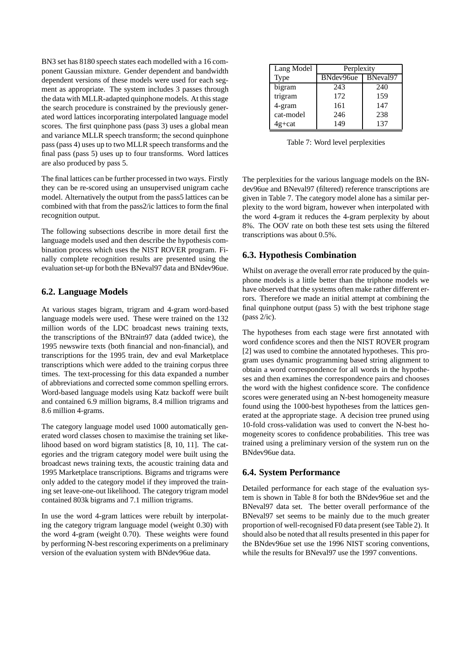BN3 set has 8180 speech states each modelled with a 16 component Gaussian mixture. Gender dependent and bandwidth dependent versions of these models were used for each segment as appropriate. The system includes 3 passes through the data with MLLR-adapted quinphone models. At this stage the search procedure is constrained by the previously generated word lattices incorporating interpolated language model scores. The first quinphone pass (pass 3) uses a global mean and variance MLLR speech transform; the second quinphone pass (pass 4) uses up to two MLLR speech transforms and the final pass (pass 5) uses up to four transforms. Word lattices are also produced by pass 5.

The final lattices can be further processed in two ways. Firstly they can be re-scored using an unsupervised unigram cache model. Alternatively the output from the pass5 lattices can be combined with that from the pass2/ic lattices to form the final recognition output.

The following subsections describe in more detail first the language models used and then describe the hypothesis combination process which uses the NIST ROVER program. Finally complete recognition results are presented using the evaluation set-up for both the BNeval97 data and BNdev96ue.

# **6.2. Language Models**

At various stages bigram, trigram and 4-gram word-based language models were used. These were trained on the 132 million words of the LDC broadcast news training texts, the transcriptions of the BNtrain97 data (added twice), the 1995 newswire texts (both financial and non-financial), and transcriptions for the 1995 train, dev and eval Marketplace transcriptions which were added to the training corpus three times. The text-processing for this data expanded a number of abbreviations and corrected some common spelling errors. Word-based language models using Katz backoff were built and contained 6.9 million bigrams, 8.4 million trigrams and 8.6 million 4-grams.

The category language model used 1000 automatically generated word classes chosen to maximise the training set likelihood based on word bigram statistics [8, 10, 11]. The categories and the trigram category model were built using the broadcast news training texts, the acoustic training data and 1995 Marketplace transcriptions. Bigrams and trigrams were only added to the category model if they improved the training set leave-one-out likelihood. The category trigram model contained 803k bigrams and 7.1 million trigrams.

In use the word 4-gram lattices were rebuilt by interpolating the category trigram language model (weight 0.30) with the word 4-gram (weight 0.70). These weights were found by performing N-best rescoring experiments on a preliminary version of the evaluation system with BNdev96ue data.

| Lang Model | Perplexity            |     |  |  |  |  |
|------------|-----------------------|-----|--|--|--|--|
| Type       | BNeval97<br>BNdev96ue |     |  |  |  |  |
| bigram     | 243                   | 240 |  |  |  |  |
| trigram    | 172                   | 159 |  |  |  |  |
| 4-gram     | 161                   | 147 |  |  |  |  |
| cat-model  | 246                   | 238 |  |  |  |  |
| 4g+cat     | 149                   | 137 |  |  |  |  |

Table 7: Word level perplexities

The perplexities for the various language models on the BNdev96ue and BNeval97 (filtered) reference transcriptions are given in Table 7. The category model alone has a similar perplexity to the word bigram, however when interpolated with the word 4-gram it reduces the 4-gram perplexity by about 8%. The OOV rate on both these test sets using the filtered transcriptions was about 0.5%.

# **6.3. Hypothesis Combination**

Whilst on average the overall error rate produced by the quinphone models is a little better than the triphone models we have observed that the systems often make rather different errors. Therefore we made an initial attempt at combining the final quinphone output (pass 5) with the best triphone stage (pass 2/ic).

The hypotheses from each stage were first annotated with word confidence scores and then the NIST ROVER program [2] was used to combine the annotated hypotheses. This program uses dynamic programming based string alignment to obtain a word correspondence for all words in the hypotheses and then examines the correspondence pairs and chooses the word with the highest confidence score. The confidence scores were generated using an N-best homogeneity measure found using the 1000-best hypotheses from the lattices generated at the appropriate stage. A decision tree pruned using 10-fold cross-validation was used to convert the N-best homogeneity scores to confidence probabilities. This tree was trained using a preliminary version of the system run on the BNdev96ue data.

# **6.4. System Performance**

Detailed performance for each stage of the evaluation system is shown in Table 8 for both the BNdev96ue set and the BNeval97 data set. The better overall performance of the BNeval97 set seems to be mainly due to the much greater proportion of well-recognised F0 data present (see Table 2). It should also be noted that all results presented in this paper for the BNdev96ue set use the 1996 NIST scoring conventions, while the results for BNeval the the 1997 conventions.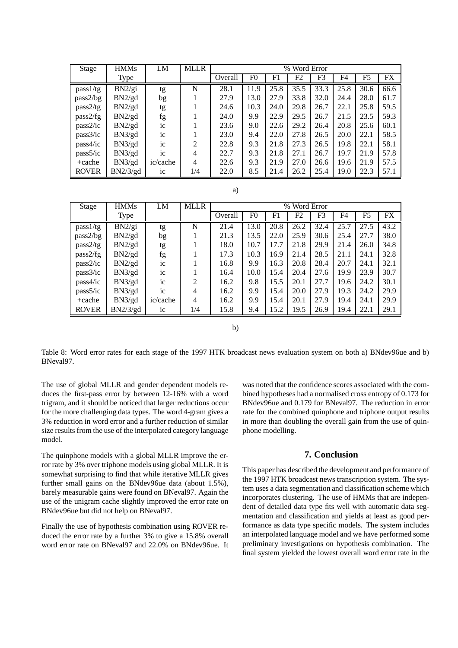| Stage        | <b>HMMs</b> | LM             | <b>MLLR</b>    |         | % Word Error   |      |      |                |      |      |      |  |
|--------------|-------------|----------------|----------------|---------|----------------|------|------|----------------|------|------|------|--|
|              | <b>Type</b> |                |                | Overall | F <sub>0</sub> | F1   | F2   | F <sub>3</sub> | F4   | F5   | FX.  |  |
| pass1/tg     | BN2/gi      | tg             | N              | 28.1    | 11.9           | 25.8 | 35.5 | 33.3           | 25.8 | 30.6 | 66.6 |  |
| pass2/bg     | BN2/gd      | bg             |                | 27.9    | 13.0           | 27.9 | 33.8 | 32.0           | 24.4 | 28.0 | 61.7 |  |
| pass2/tg     | BN2/gd      | tg             |                | 24.6    | 10.3           | 24.0 | 29.8 | 26.7           | 22.1 | 25.8 | 59.5 |  |
| pass2/fg     | BN2/gd      | fg             |                | 24.0    | 9.9            | 22.9 | 29.5 | 26.7           | 21.5 | 23.5 | 59.3 |  |
| pass2/ic     | BN2/gd      | ic             |                | 23.6    | 9.0            | 22.6 | 29.2 | 26.4           | 20.8 | 25.6 | 60.1 |  |
| pass3/ic     | BN3/gd      | ic             |                | 23.0    | 9.4            | 22.0 | 27.8 | 26.5           | 20.0 | 22.1 | 58.5 |  |
| pass4/ic     | BN3/gd      | ic             | $\overline{2}$ | 22.8    | 9.3            | 21.8 | 27.3 | 26.5           | 19.8 | 22.1 | 58.1 |  |
| pass5/ic     | BN3/gd      | ic             | 4              | 22.7    | 9.3            | 21.8 | 27.1 | 26.7           | 19.7 | 21.9 | 57.8 |  |
| $+cache$     | BN3/gd      | ic/cache       | 4              | 22.6    | 9.3            | 21.9 | 27.0 | 26.6           | 19.6 | 21.9 | 57.5 |  |
| <b>ROVER</b> | BN2/3/gd    | 1 <sup>c</sup> | 1/4            | 22.0    | 8.5            | 21.4 | 26.2 | 25.4           | 19.0 | 22.3 | 57.1 |  |

| $-1$<br>× |  |
|-----------|--|

| Stage        | <b>HMMs</b> | LM             | <b>MLLR</b>    | Word Error<br>$\%$ |                |      |      |      |      |      |           |
|--------------|-------------|----------------|----------------|--------------------|----------------|------|------|------|------|------|-----------|
|              | <b>Type</b> |                |                | Overall            | F <sub>0</sub> | F1   | F2   | F3   | F4   | F5   | <b>FX</b> |
| pass1/tg     | BN2/gi      | tg             | N              | 21.4               | 13.0           | 20.8 | 26.2 | 32.4 | 25.7 | 27.5 | 43.2      |
| pass2/bg     | BN2/gd      | bg             |                | 21.3               | 13.5           | 22.0 | 25.9 | 30.6 | 25.4 | 27.7 | 38.0      |
| pass2/tg     | BN2/gd      | tg             |                | 18.0               | 10.7           | 17.7 | 21.8 | 29.9 | 21.4 | 26.0 | 34.8      |
| pass2/fg     | BN2/gd      | fg             |                | 17.3               | 10.3           | 16.9 | 21.4 | 28.5 | 21.1 | 24.1 | 32.8      |
| pass2/ic     | BN2/gd      | $i_{\rm c}$    |                | 16.8               | 9.9            | 16.3 | 20.8 | 28.4 | 20.7 | 24.1 | 32.1      |
| pass3/ic     | BN3/gd      | ic             |                | 16.4               | 10.0           | 15.4 | 20.4 | 27.6 | 19.9 | 23.9 | 30.7      |
| pass4/ic     | BN3/gd      | $i_{\rm c}$    | $\overline{2}$ | 16.2               | 9.8            | 15.5 | 20.1 | 27.7 | 19.6 | 24.2 | 30.1      |
| pass5/ic     | BN3/gd      | ic             | $\overline{4}$ | 16.2               | 9.9            | 15.4 | 20.0 | 27.9 | 19.3 | 24.2 | 29.9      |
| $+cache$     | BN3/gd      | ic/cache       | 4              | 16.2               | 9.9            | 15.4 | 20.1 | 27.9 | 19.4 | 24.1 | 29.9      |
| <b>ROVER</b> | BN2/3/gd    | 1 <sup>c</sup> | 1/4            | 15.8               | 9.4            | 15.2 | 19.5 | 26.9 | 19.4 | 22.1 | 29.1      |

b)

Table 8: Word error rates for each stage of the 1997 HTK broadcast news evaluation system on both a) BNdev96ue and b) BNeval97.

The use of global MLLR and gender dependent models reduces the first-pass error by between 12-16% with a word trigram, and it should be noticed that larger reductions occur for the more challenging data types. The word 4-gram gives a 3% reduction in word error and a further reduction of similar size results from the use of the interpolated category language model.

The quinphone models with a global MLLR improve the error rate by 3% over triphone models using global MLLR. It is somewhat surprising to find that while iterative MLLR gives further small gains on the BNdev96ue data (about 1.5%), barely measurable gains were found on BNeval97. Again the use of the unigram cache slightly improved the error rate on BNdev96ue but did not help on BNeval97.

Finally the use of hypothesis combination using ROVER reduced the error rate by a further 3% to give a 15.8% overall word error rate on BNeval97 and 22.0% on BNdev96ue. It

was noted that the confidence scores associated with the combined hypotheses had a normalised cross entropy of 0.173 for BNdev96ue and 0.179 for BNeval97. The reduction in error rate for the combined quinphone and triphone output results in more than doubling the overall gain from the use of quinphone modelling.

## **7. Conclusion**

This paper has described the development and performance of the 1997 HTK broadcast news transcription system. The system uses a data segmentation and classification scheme which incorporates clustering. The use of HMMs that are independent of detailed data type fits well with automatic data segmentation and classification and yields at least as good performance as data type specific models. The system includes an interpolated language model and we have performed some preliminary investigations on hypothesis combination. The final system yielded the lowest overall word error rate in the